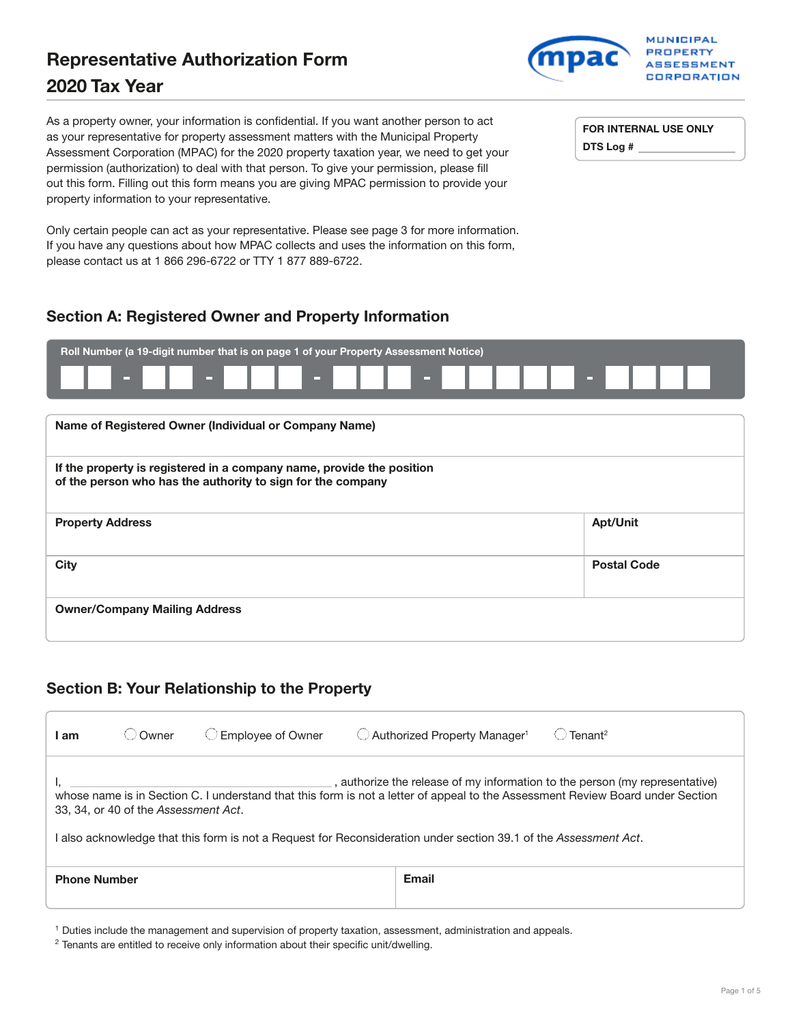# Representative Authorization Form **2020** Tax Year

**MUNICIPAL PROPERTY** ASSESSMENT CORPORATION

As a property owner, your information is confidential. If you want another person to act as your representative for property assessment matters with the Municipal Property Assessment Corporation (MPAC) for the 2020 property taxation year, we need to get your permission (authorization) to deal with that person. To give your permission, please fill out this form. Filling out this form means you are giving MPAC permission to provide your property information to your representative.

Only certain people can act as your representative. Please see page 3 for more information. If you have any questions about how MPAC collects and uses the information on this form, please contact us at 1 866 296-6722 or TTY 1 877 889-6722.

FOR INTERNAL USE ONLY DTS Log #

# Section A: Registered Owner and Property Information

| Roll Number (a 19-digit number that is on page 1 of your Property Assessment Notice)                                                 |                    |  |  |  |
|--------------------------------------------------------------------------------------------------------------------------------------|--------------------|--|--|--|
| $\mathbf{m} \in \mathbb{R}$<br><b>COLL</b><br><b>COL</b><br>▭                                                                        | п.                 |  |  |  |
|                                                                                                                                      |                    |  |  |  |
| Name of Registered Owner (Individual or Company Name)                                                                                |                    |  |  |  |
| If the property is registered in a company name, provide the position<br>of the person who has the authority to sign for the company |                    |  |  |  |
| <b>Property Address</b>                                                                                                              | <b>Apt/Unit</b>    |  |  |  |
| <b>City</b>                                                                                                                          | <b>Postal Code</b> |  |  |  |
| <b>Owner/Company Mailing Address</b>                                                                                                 |                    |  |  |  |

## Section B: Your Relationship to the Property

| am                                                                                                                                                                                                                                                                                                                                                                      | Owner | <b>Employee of Owner</b> | $\bigcirc$ Authorized Property Manager <sup>1</sup> | $T$ enant <sup>2</sup> |
|-------------------------------------------------------------------------------------------------------------------------------------------------------------------------------------------------------------------------------------------------------------------------------------------------------------------------------------------------------------------------|-------|--------------------------|-----------------------------------------------------|------------------------|
| , authorize the release of my information to the person (my representative)<br>whose name is in Section C. I understand that this form is not a letter of appeal to the Assessment Review Board under Section<br>33, 34, or 40 of the Assessment Act.<br>also acknowledge that this form is not a Request for Reconsideration under section 39.1 of the Assessment Act. |       |                          |                                                     |                        |
| <b>Phone Number</b>                                                                                                                                                                                                                                                                                                                                                     |       |                          | <b>Email</b>                                        |                        |

1 Duties include the management and supervision of property taxation, assessment, administration and appeals.

<sup>&</sup>lt;sup>2</sup> Tenants are entitled to receive only information about their specific unit/dwelling.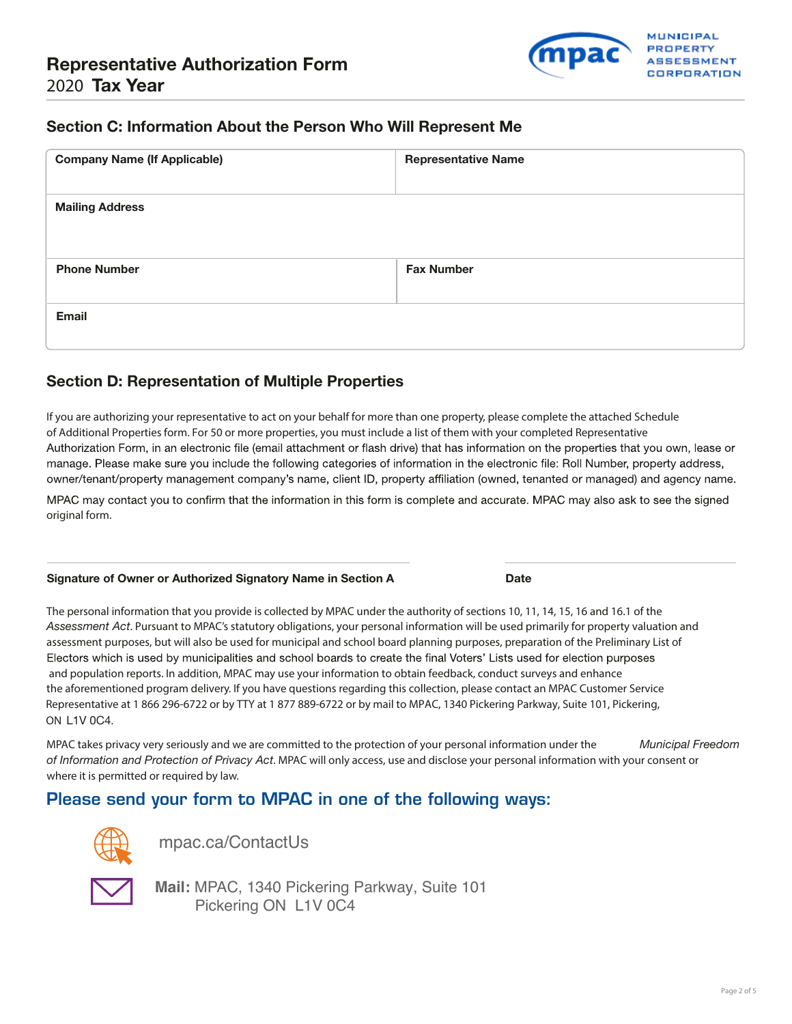

### Section C: Information About the Person Who Will Represent Me

| <b>Company Name (If Applicable)</b> | <b>Representative Name</b> |
|-------------------------------------|----------------------------|
| <b>Mailing Address</b>              |                            |
| <b>Phone Number</b>                 | <b>Fax Number</b>          |
| Email                               |                            |

### Section D: Representation of Multiple Properties

If you are authorizing your representative to act on your behalf for more than one property, please complete the attached Schedule of Additional Properties form. For 50 or more properties, you must include a list of them with your completed Representative Authorization Form, in an electronic file (email attachment or flash drive) that has information on the properties that you own, lease or manage. Please make sure you include the following categories of information in the electronic file: Roll Number, property address, owner/tenant/property management company's name, client ID, property affiliation (owned, tenanted or managed) and agency name.

MPAC may contact you to confirm that the information in this form is complete and accurate. MPAC may also ask to see the signed original form.

#### Signature of Owner or Authorized Signatory Name in Section A Date

The personal information that you provide is collected by MPAC under the authority of sections 10, 11, 14, 15, 16 and 16.1 of the *Assessment Act*. Pursuant to MPAC's statutory obligations, your personal information will be used primarily for property valuation and assessment purposes, but will also be used for municipal and school board planning purposes, preparation of the Preliminary List of Electors which is used by municipalities and school boards to create the final Voters' Lists used for election purposes and population reports. In addition, MPAC may use your information to obtain feedback, conduct surveys and enhance the aforementioned program delivery. If you have questions regarding this collection, please contact an MPAC Customer Service Representative at 1 866 296-6722 or by TTY at 1 877 889-6722 or by mail to MPAC, 1340 Pickering Parkway, Suite 101, Pickering, ON L1V 0C4.

MPAC takes privacy very seriously and we are committed to the protection of your personal information under the *Municipal Freedom of Information and Protection of Privacy Act*. MPAC will only access, use and disclose your personal information with your consent or where it is permitted or required by law.

## Please send your form to MPAC in one of the following ways:



[mpac.ca/ContactUs](https://mpac.ca/ContactUs) 



**Mail:** MPAC, 1340 Pickering Parkway, Suite 101 Pickering ON L1V 0C4

Page 2 of 5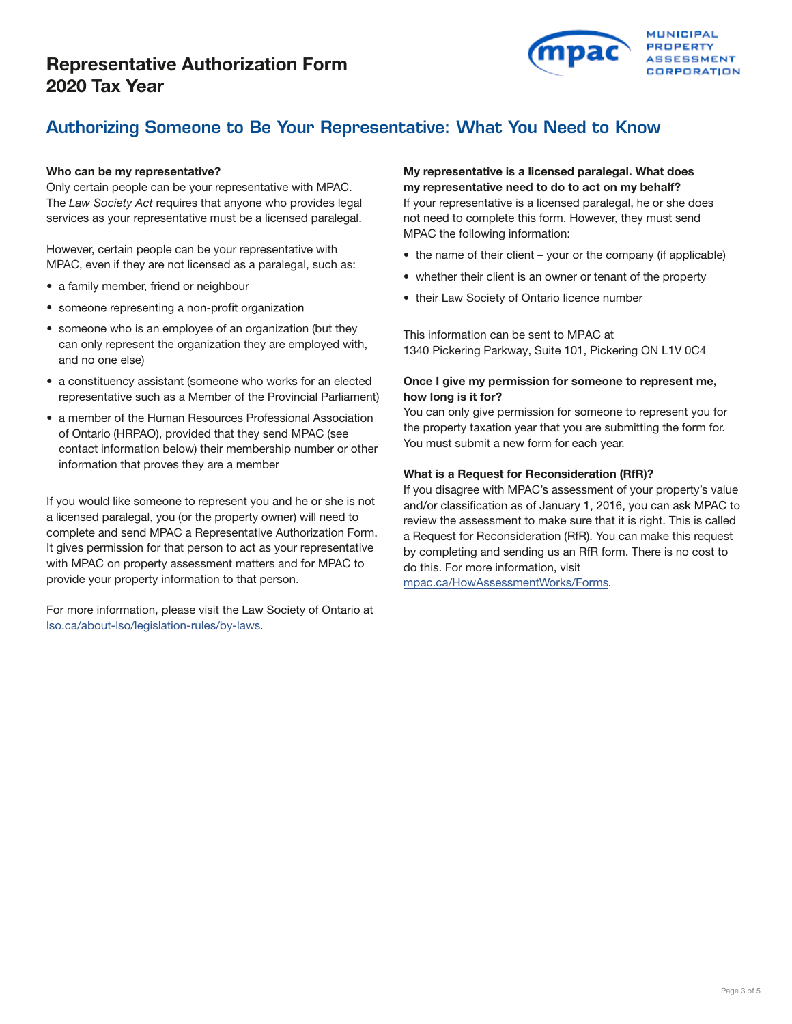

# Authorizing Someone to Be Your Representative: What You Need to Know

Only certain people can be your representative with MPAC. **my representative need to do to act on my behalf?** The *Law Society Act* requires that anyone who provides legal If your representative is a licensed paralegal, he or she does services as your representative must be a licensed paralegal. The not need to complete this form. However, they must send

However, certain people can be your representative with • the name of their client – your or the company (if applicable)<br>MPAC, even if they are not licensed as a paralegal, such as:

- 
- someone representing a non-profit organization
- someone who is an employee of an organization (but they This information can be sent to MPAC at can only represent the organization they are employed with. and no one else)
- a constituency assistant (someone who works for an elected Once I give my permission for someone to represent me, representative such as a Member of the Provincial Parliament) how long is it for?
- of Ontario (HRPAO), provided that they send MPAC (see The form for the form for each year.<br>You must submit a new form for each year. information that proves they are a member

If you would like someone to represent you and he or she is not It gives permission for that person to act as your representative by completing and sending us an RfR form. There is no cost to with MPAC on property assessment matters and for MPAC to do this. For more information, visit<br>provide your property information to that person.

For more information, please visit the Law Society of Ontario at [lso.ca/about-lso/legislation-rules/by-laws](http://www.lso.ca/about-lso/legislation-rules/by-laws).

# Who can be my representative? The matrix of the matrix of the My representative is a licensed paralegal. What does

MPAC the following information:

- 
- a family member, friend or neighbour<br>• their Law Society of Ontario licence number<br>• their Law Society of Ontario licence number
	-

1340 Pickering Parkway, Suite 101, Pickering ON L1V 0C4

• a member of the Human Resources Professional Association You can only give permission for someone to represent you for a member of the Human Resources Professional Association the property taxation year that you are subm

#### What is a Request for Reconsideration (RfR)?

If you disagree with MPAC's assessment of your property's value and/or classification as of January 1, 2016, you can ask MPAC to a licensed paralegal, you (or the property owner) will need to review the assessment to make sure that it is right. This is called<br>complete and send MPAC a Representative Authorization Form. a Request for Reconsideration ( a Request for Reconsideration (RfR). You can make this request

[mpac.ca/HowAssessmentWorks/Forms.](http://www.mpac.ca/HowAssessmentWorks/Forms)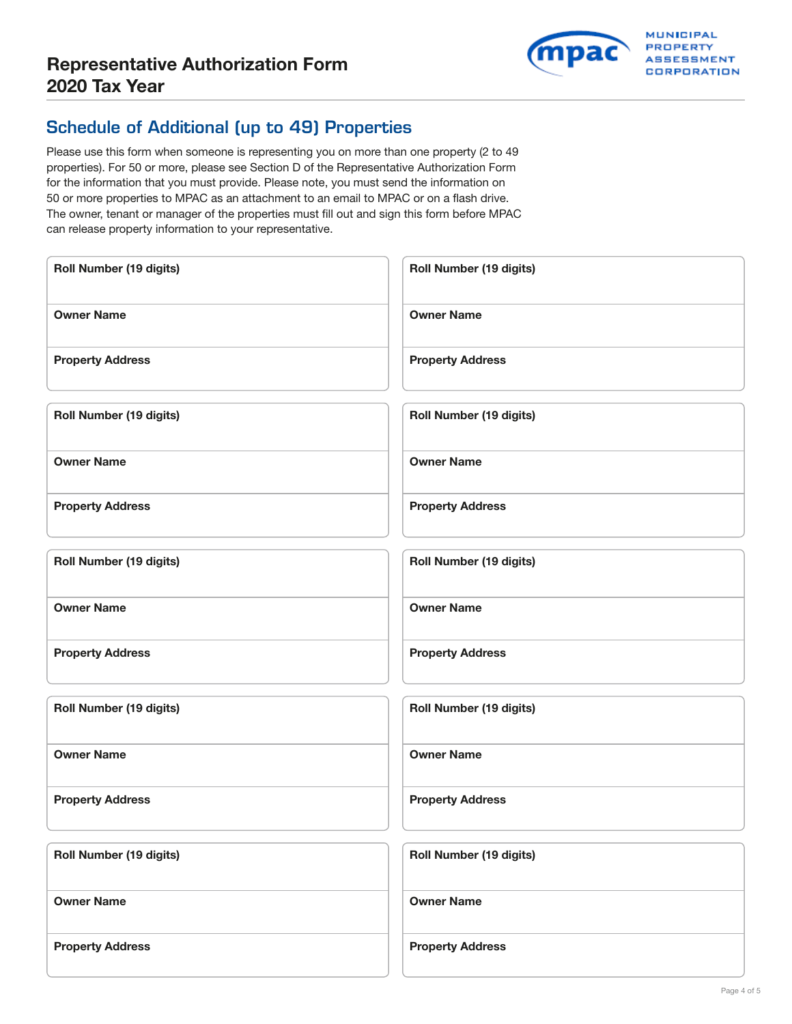

# Schedule of Additional (up to 49) Properties

Please use this form when someone is representing you on more than one property (2 to 49 properties). For 50 or more, please see Section D of the Representative Authorization Form for the information that you must provide. Please note, you must send the information on 50 or more properties to MPAC as an attachment to an email to MPAC or on a flash drive. The owner, tenant or manager of the properties must fill out and sign this form before MPAC can release property information to your representative.

| <b>Roll Number (19 digits)</b> | <b>Roll Number (19 digits)</b> |
|--------------------------------|--------------------------------|
| <b>Owner Name</b>              | <b>Owner Name</b>              |
| <b>Property Address</b>        | <b>Property Address</b>        |
| Roll Number (19 digits)        | Roll Number (19 digits)        |
| <b>Owner Name</b>              | <b>Owner Name</b>              |
| <b>Property Address</b>        | <b>Property Address</b>        |
| <b>Roll Number (19 digits)</b> | <b>Roll Number (19 digits)</b> |
| <b>Owner Name</b>              | <b>Owner Name</b>              |
| <b>Property Address</b>        | <b>Property Address</b>        |
| <b>Roll Number (19 digits)</b> | Roll Number (19 digits)        |
| <b>Owner Name</b>              | <b>Owner Name</b>              |
| <b>Property Address</b>        | <b>Property Address</b>        |
| <b>Roll Number (19 digits)</b> | Roll Number (19 digits)        |
| <b>Owner Name</b>              | <b>Owner Name</b>              |
| <b>Property Address</b>        | <b>Property Address</b>        |